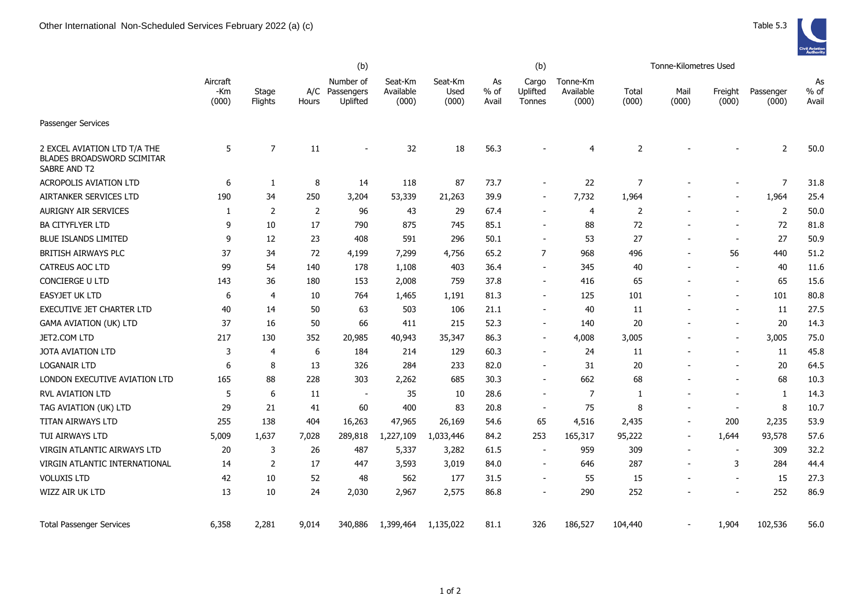|                                                                                   | (b)                      |                  |       |                                         |                               |                          |                     | (b)                         |                                | Tonne-Kilometres Used |                 |                          |                    |                       |  |
|-----------------------------------------------------------------------------------|--------------------------|------------------|-------|-----------------------------------------|-------------------------------|--------------------------|---------------------|-----------------------------|--------------------------------|-----------------------|-----------------|--------------------------|--------------------|-----------------------|--|
|                                                                                   | Aircraft<br>-Km<br>(000) | Stage<br>Flights | Hours | Number of<br>A/C Passengers<br>Uplifted | Seat-Km<br>Available<br>(000) | Seat-Km<br>Used<br>(000) | As<br>% of<br>Avail | Cargo<br>Uplifted<br>Tonnes | Tonne-Km<br>Available<br>(000) | Total<br>(000)        | Mail<br>(000)   | Freight<br>(000)         | Passenger<br>(000) | As<br>$%$ of<br>Avail |  |
| <b>Passenger Services</b>                                                         |                          |                  |       |                                         |                               |                          |                     |                             |                                |                       |                 |                          |                    |                       |  |
| 2 EXCEL AVIATION LTD T/A THE<br><b>BLADES BROADSWORD SCIMITAR</b><br>SABRE AND T2 | 5                        | $\overline{7}$   | 11    |                                         | 32                            | 18                       | 56.3                |                             | 4                              | $\overline{2}$        |                 |                          | 2                  | $50.0$                |  |
| <b>ACROPOLIS AVIATION LTD</b>                                                     | 6                        | 1                | 8     | 14                                      | 118                           | 87                       | 73.7                |                             | 22                             | $\overline{7}$        |                 |                          | $\overline{7}$     | 31.8                  |  |
| AIRTANKER SERVICES LTD                                                            | 190                      | 34               | 250   | 3,204                                   | 53,339                        | 21,263                   | 39.9                | $\overline{\phantom{a}}$    | 7,732                          | 1,964                 |                 | $\overline{\phantom{a}}$ | 1,964              | 25.4                  |  |
| <b>AURIGNY AIR SERVICES</b>                                                       | 1                        | 2                | 2     | 96                                      | 43                            | 29                       | 67.4                | $\overline{\phantom{a}}$    | 4                              | $\overline{2}$        |                 | $\sim$                   | $\overline{2}$     | 50.0                  |  |
| <b>BA CITYFLYER LTD</b>                                                           | 9                        | 10               | 17    | 790                                     | 875                           | 745                      | 85.1                |                             | 88                             | 72                    |                 |                          | 72                 | 81.8                  |  |
| <b>BLUE ISLANDS LIMITED</b>                                                       | 9                        | 12               | 23    | 408                                     | 591                           | 296                      | 50.1                | $\overline{\phantom{a}}$    | 53                             | 27                    | $\blacksquare$  | $\overline{\phantom{a}}$ | 27                 | 50.9                  |  |
| BRITISH AIRWAYS PLC                                                               | 37                       | 34               | 72    | 4,199                                   | 7,299                         | 4,756                    | 65.2                | $\overline{7}$              | 968                            | 496                   |                 | 56                       | 440                | 51.2                  |  |
| CATREUS AOC LTD                                                                   | 99                       | 54               | 140   | 178                                     | 1,108                         | 403                      | 36.4                | $\blacksquare$              | 345                            | 40                    |                 |                          | 40                 | 11.6                  |  |
| <b>CONCIERGE U LTD</b>                                                            | 143                      | 36               | 180   | 153                                     | 2,008                         | 759                      | 37.8                | $\overline{\phantom{a}}$    | 416                            | 65                    |                 |                          | 65                 | 15.6                  |  |
| <b>EASYJET UK LTD</b>                                                             | 6                        | 4                | 10    | 764                                     | 1,465                         | 1,191                    | 81.3                | $\overline{\phantom{a}}$    | 125                            | 101                   |                 | $\overline{\phantom{a}}$ | 101                | 80.8                  |  |
| <b>EXECUTIVE JET CHARTER LTD</b>                                                  | 40                       | 14               | 50    | 63                                      | 503                           | 106                      | 21.1                | $\overline{\phantom{a}}$    | 40                             | 11                    |                 | $\overline{\phantom{a}}$ | 11                 | 27.5                  |  |
| <b>GAMA AVIATION (UK) LTD</b>                                                     | 37                       | 16               | 50    | 66                                      | 411                           | 215                      | 52.3                | $\overline{\phantom{a}}$    | 140                            | 20                    |                 | $\overline{\phantom{a}}$ | 20                 | 14.3                  |  |
| JET2.COM LTD                                                                      | 217                      | 130              | 352   | 20,985                                  | 40,943                        | 35,347                   | 86.3                | $\overline{\phantom{a}}$    | 4,008                          | 3,005                 |                 |                          | 3,005              | 75.0                  |  |
| <b>JOTA AVIATION LTD</b>                                                          | 3                        | $\overline{4}$   | 6     | 184                                     | 214                           | 129                      | 60.3                | $\overline{\phantom{a}}$    | 24                             | 11                    |                 |                          | 11                 | 45.8                  |  |
| <b>LOGANAIR LTD</b>                                                               | 6                        | 8                | 13    | 326                                     | 284                           | 233                      | 82.0                | $\overline{\phantom{a}}$    | 31                             | 20                    |                 | $\overline{\phantom{a}}$ | 20                 | 64.5                  |  |
| LONDON EXECUTIVE AVIATION LTD                                                     | 165                      | 88               | 228   | 303                                     | 2,262                         | 685                      | 30.3                |                             | 662                            | 68                    |                 |                          | 68                 | 10.3                  |  |
| RVL AVIATION LTD                                                                  | 5                        | 6                | 11    | $\overline{\phantom{a}}$                | 35                            | 10                       | 28.6                | $\blacksquare$              | 7                              | 1                     |                 |                          | $\mathbf{1}$       | 14.3                  |  |
| TAG AVIATION (UK) LTD                                                             | 29                       | 21               | 41    | 60                                      | 400                           | 83                       | 20.8                | $\sim$                      | 75                             | 8                     |                 |                          | 8                  | 10.7                  |  |
| <b>TITAN AIRWAYS LTD</b>                                                          | 255                      | 138              | 404   | 16,263                                  | 47,965                        | 26,169                   | 54.6                | 65                          | 4,516                          | 2,435                 | $\blacksquare$  | 200                      | 2,235              | 53.9                  |  |
| TUI AIRWAYS LTD                                                                   | 5,009                    | 1,637            | 7,028 | 289,818                                 | 1,227,109                     | 1,033,446                | 84.2                | 253                         | 165,317                        | 95,222                | $\overline{a}$  | 1,644                    | 93,578             | 57.6                  |  |
| VIRGIN ATLANTIC AIRWAYS LTD                                                       | 20                       | 3                | 26    | 487                                     | 5,337                         | 3,282                    | 61.5                | $\overline{\phantom{a}}$    | 959                            | 309                   | $\qquad \qquad$ | $\overline{\phantom{a}}$ | 309                | 32.2                  |  |
| VIRGIN ATLANTIC INTERNATIONAL                                                     | 14                       | $\overline{2}$   | 17    | 447                                     | 3,593                         | 3,019                    | 84.0                | $\overline{\phantom{a}}$    | 646                            | 287                   |                 | 3                        | 284                | 44.4                  |  |
| <b>VOLUXIS LTD</b>                                                                | 42                       | 10               | 52    | 48                                      | 562                           | 177                      | 31.5                |                             | 55                             | 15                    |                 |                          | 15                 | 27.3                  |  |
| WIZZ AIR UK LTD                                                                   | 13                       | 10               | 24    | 2,030                                   | 2,967                         | 2,575                    | 86.8                | $\overline{\phantom{a}}$    | 290                            | 252                   |                 | $\blacksquare$           | 252                | 86.9                  |  |
| <b>Total Passenger Services</b>                                                   | 6,358                    | 2,281            | 9,014 | 340,886                                 | 1,399,464                     | 1,135,022                | 81.1                | 326                         | 186,527                        | 104,440               |                 | 1,904                    | 102,536            | 56.0                  |  |